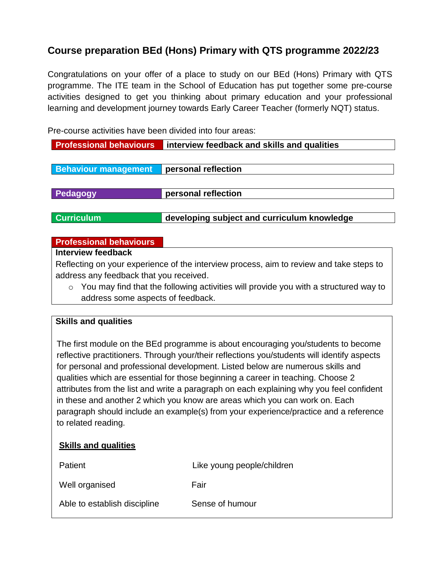## **Course preparation BEd (Hons) Primary with QTS programme 2022/23**

Congratulations on your offer of a place to study on our BEd (Hons) Primary with QTS programme. The ITE team in the School of Education has put together some pre-course activities designed to get you thinking about primary education and your professional learning and development journey towards Early Career Teacher (formerly NQT) status.

Pre-course activities have been divided into four areas:

| <b>Professional behaviours</b>                                                                  | interview feedback and skills and qualities |  |  |  |
|-------------------------------------------------------------------------------------------------|---------------------------------------------|--|--|--|
|                                                                                                 |                                             |  |  |  |
| <b>Behaviour management</b>                                                                     | personal reflection                         |  |  |  |
|                                                                                                 |                                             |  |  |  |
| Pedagogy                                                                                        | personal reflection                         |  |  |  |
|                                                                                                 |                                             |  |  |  |
| <b>Curriculum</b>                                                                               | developing subject and curriculum knowledge |  |  |  |
|                                                                                                 |                                             |  |  |  |
| <b>Professional behaviours</b>                                                                  |                                             |  |  |  |
| Interview feedback                                                                              |                                             |  |  |  |
| Reflecting on your experience of the interview process, aim to review and take steps to         |                                             |  |  |  |
| address any feedback that you received.                                                         |                                             |  |  |  |
| You may find that the following activities will provide you with a structured way to<br>$\circ$ |                                             |  |  |  |
| address some aspects of feedback.                                                               |                                             |  |  |  |

#### **Skills and qualities**

The first module on the BEd programme is about encouraging you/students to become reflective practitioners. Through your/their reflections you/students will identify aspects for personal and professional development. Listed below are numerous skills and qualities which are essential for those beginning a career in teaching. Choose 2 attributes from the list and write a paragraph on each explaining why you feel confident in these and another 2 which you know are areas which you can work on. Each paragraph should include an example(s) from your experience/practice and a reference to related reading.

| <b>Skills and qualities</b>  |                            |
|------------------------------|----------------------------|
| Patient                      | Like young people/children |
| Well organised               | Fair                       |
| Able to establish discipline | Sense of humour            |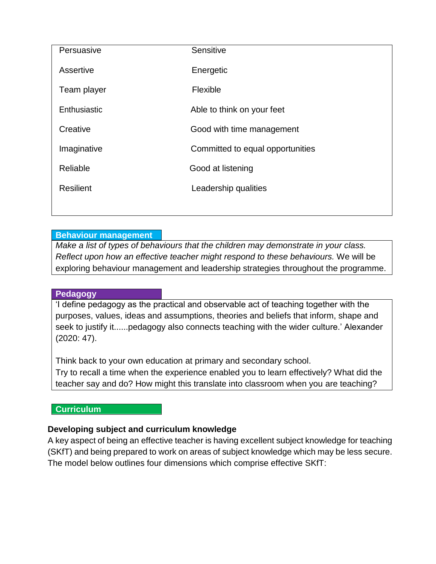| Persuasive       | Sensitive                        |  |
|------------------|----------------------------------|--|
| Assertive        | Energetic                        |  |
| Team player      | Flexible                         |  |
| Enthusiastic     | Able to think on your feet       |  |
| Creative         | Good with time management        |  |
| Imaginative      | Committed to equal opportunities |  |
| Reliable         | Good at listening                |  |
| <b>Resilient</b> | Leadership qualities             |  |
|                  |                                  |  |

### **Behaviour management**

*Make a list of types of behaviours that the children may demonstrate in your class. Reflect upon how an effective teacher might respond to these behaviours.* We will be exploring behaviour management and leadership strategies throughout the programme.

### **Pedagogy**

'I define pedagogy as the practical and observable act of teaching together with the purposes, values, ideas and assumptions, theories and beliefs that inform, shape and seek to justify it......pedagogy also connects teaching with the wider culture.' Alexander (2020: 47).

Think back to your own education at primary and secondary school. Try to recall a time when the experience enabled you to learn effectively? What did the teacher say and do? How might this translate into classroom when you are teaching?

### **Curriculum**

### **Developing subject and curriculum knowledge**

A key aspect of being an effective teacher is having excellent subject knowledge for teaching (SKfT) and being prepared to work on areas of subject knowledge which may be less secure. The model below outlines four dimensions which comprise effective SKfT: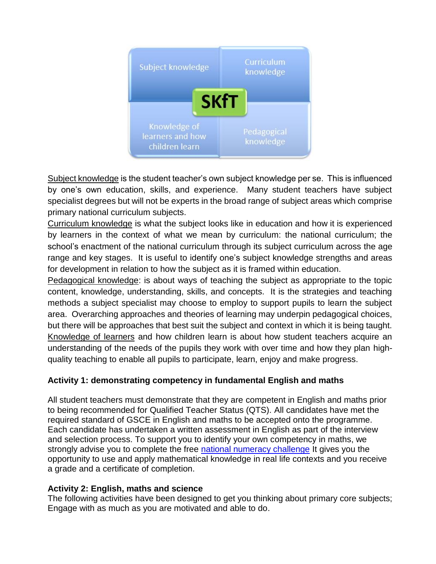

Subject knowledge is the student teacher's own subject knowledge per se. This is influenced by one's own education, skills, and experience. Many student teachers have subject specialist degrees but will not be experts in the broad range of subject areas which comprise primary national curriculum subjects.

Curriculum knowledge is what the subject looks like in education and how it is experienced by learners in the context of what we mean by curriculum: the national curriculum; the school's enactment of the national curriculum through its subject curriculum across the age range and key stages. It is useful to identify one's subject knowledge strengths and areas for development in relation to how the subject as it is framed within education.

Pedagogical knowledge: is about ways of teaching the subject as appropriate to the topic content, knowledge, understanding, skills, and concepts. It is the strategies and teaching methods a subject specialist may choose to employ to support pupils to learn the subject area. Overarching approaches and theories of learning may underpin pedagogical choices, but there will be approaches that best suit the subject and context in which it is being taught. Knowledge of learners and how children learn is about how student teachers acquire an understanding of the needs of the pupils they work with over time and how they plan highquality teaching to enable all pupils to participate, learn, enjoy and make progress.

### **Activity 1: demonstrating competency in fundamental English and maths**

All student teachers must demonstrate that they are competent in English and maths prior to being recommended for Qualified Teacher Status (QTS). All candidates have met the required standard of GSCE in English and maths to be accepted onto the programme. Each candidate has undertaken a written assessment in English as part of the interview and selection process. To support you to identify your own competency in maths, we strongly advise you to complete the free [national numeracy challenge](https://www.nationalnumeracy.org.uk/challenge/?utm_source=nnsite&utm_medium=banner&utm_campaign=internal_link) It gives you the opportunity to use and apply mathematical knowledge in real life contexts and you receive a grade and a certificate of completion.

### **Activity 2: English, maths and science**

The following activities have been designed to get you thinking about primary core subjects; Engage with as much as you are motivated and able to do.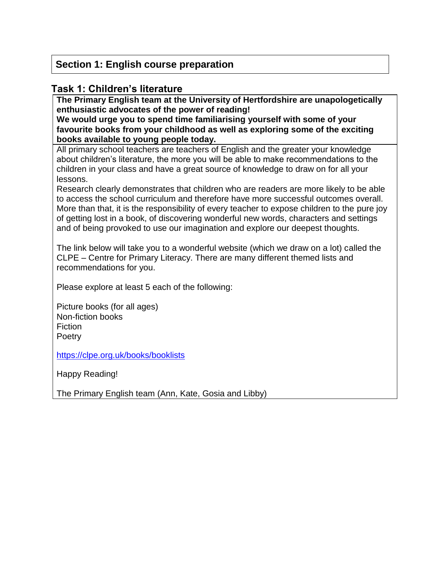### **Section 1: English course preparation**

### **Task 1: Children's literature**

**The Primary English team at the University of Hertfordshire are unapologetically enthusiastic advocates of the power of reading!** 

**We would urge you to spend time familiarising yourself with some of your favourite books from your childhood as well as exploring some of the exciting books available to young people today.** 

All primary school teachers are teachers of English and the greater your knowledge about children's literature, the more you will be able to make recommendations to the children in your class and have a great source of knowledge to draw on for all your lessons.

Research clearly demonstrates that children who are readers are more likely to be able to access the school curriculum and therefore have more successful outcomes overall. More than that, it is the responsibility of every teacher to expose children to the pure joy of getting lost in a book, of discovering wonderful new words, characters and settings and of being provoked to use our imagination and explore our deepest thoughts.

The link below will take you to a wonderful website (which we draw on a lot) called the CLPE – Centre for Primary Literacy. There are many different themed lists and recommendations for you.

Please explore at least 5 each of the following:

Picture books (for all ages) Non-fiction books **Fiction Poetry** 

<https://clpe.org.uk/books/booklists>

Happy Reading!

The Primary English team (Ann, Kate, Gosia and Libby)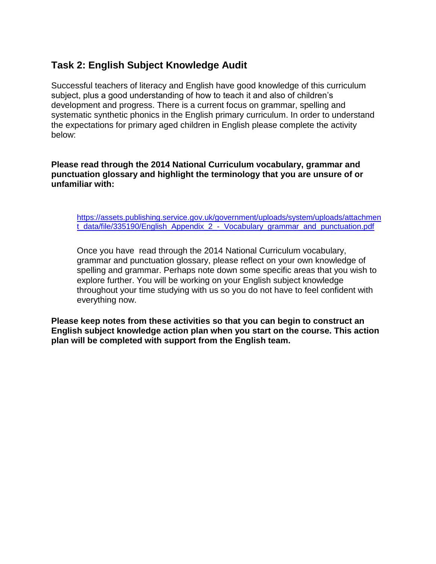### **Task 2: English Subject Knowledge Audit**

Successful teachers of literacy and English have good knowledge of this curriculum subject, plus a good understanding of how to teach it and also of children's development and progress. There is a current focus on grammar, spelling and systematic synthetic phonics in the English primary curriculum. In order to understand the expectations for primary aged children in English please complete the activity below:

#### **Please read through the 2014 National Curriculum vocabulary, grammar and punctuation glossary and highlight the terminology that you are unsure of or unfamiliar with:**

[https://assets.publishing.service.gov.uk/government/uploads/system/uploads/attachmen](https://assets.publishing.service.gov.uk/government/uploads/system/uploads/attachment_data/file/335190/English_Appendix_2_-_Vocabulary_grammar_and_punctuation.pdf) t data/file/335190/English Appendix 2 - Vocabulary grammar and punctuation.pdf

Once you have read through the 2014 National Curriculum vocabulary, grammar and punctuation glossary, please reflect on your own knowledge of spelling and grammar. Perhaps note down some specific areas that you wish to explore further. You will be working on your English subject knowledge throughout your time studying with us so you do not have to feel confident with everything now.

**Please keep notes from these activities so that you can begin to construct an English subject knowledge action plan when you start on the course. This action plan will be completed with support from the English team.**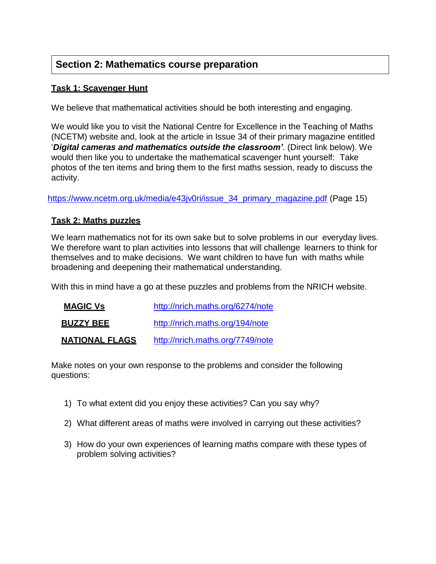## **Section 2: Mathematics course preparation**

### **Task 1: Scavenger Hunt**

We believe that mathematical activities should be both interesting and engaging.

We would like you to visit the National Centre for Excellence in the Teaching of Maths (NCETM) website and, look at the article in Issue 34 of their primary magazine entitled '*Digital cameras and mathematics outside the classroom'*. (Direct link below). We would then like you to undertake the mathematical scavenger hunt yourself: Take photos of the ten items and bring them to the first maths session, ready to discuss the activity.

[https://www.ncetm.org.uk/media/e43jv0ri/issue\\_34\\_primary\\_magazine.pdf](https://www.ncetm.org.uk/media/e43jv0ri/issue_34_primary_magazine.pdf) (Page 15)

### **Task 2: Maths puzzles**

We learn mathematics not for its own sake but to solve problems in our everyday lives. We therefore want to plan activities into lessons that will challenge learners to think for themselves and to make decisions. We want children to have fun with maths while broadening and deepening their mathematical understanding.

With this in mind have a go at these puzzles and problems from the NRICH website.

| <b>MAGIC Vs</b>       | http://nrich.maths.org/6274/note |
|-----------------------|----------------------------------|
| <b>BUZZY BEE</b>      | http://nrich.maths.org/194/note  |
| <u>NATIONAL FLAGS</u> | http://nrich.maths.org/7749/note |

Make notes on your own response to the problems and consider the following questions:

- 1) To what extent did you enjoy these activities? Can you say why?
- 2) What different areas of maths were involved in carrying out these activities?
- 3) How do your own experiences of learning maths compare with these types of problem solving activities?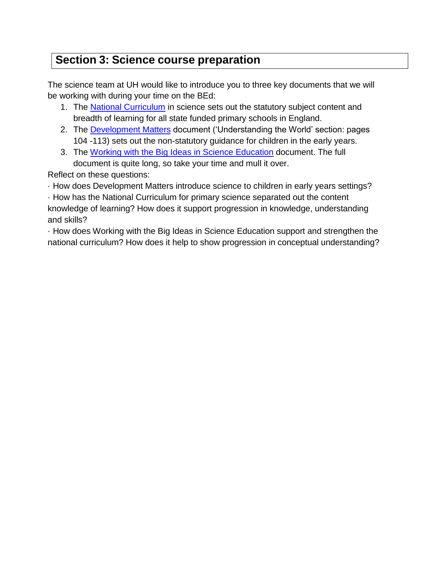# **Section 3: Science course preparation**

The science team at UH would like to introduce you to three key documents that we will be working with during your time on the BEd:

- 1. The [National Curriculum](https://www.gov.uk/government/publications/national-curriculum-in-england-science-programmes-of-study/national-curriculum-in-england-science-programmes-of-study) in science sets out the statutory subject content and breadth of learning for all state funded primary schools in England.
- 2. The [Development Matters](https://assets.publishing.service.gov.uk/government/uploads/system/uploads/attachment_data/file/1007446/6.7534_DfE_Development_Matters_Report_and_illustrations_web__2_.pdf) document ('Understanding the World' section: pages 104 -113) sets out the non-statutory guidance for children in the early years.
- 3. The [Working with the Big Ideas](https://www.ase.org.uk/bigideas) in Science Education document. The full document is quite long, so take your time and mull it over.

Reflect on these questions:

· How does Development Matters introduce science to children in early years settings?

· How has the National Curriculum for primary science separated out the content knowledge of learning? How does it support progression in knowledge, understanding and skills?

· How does Working with the Big Ideas in Science Education support and strengthen the national curriculum? How does it help to show progression in conceptual understanding?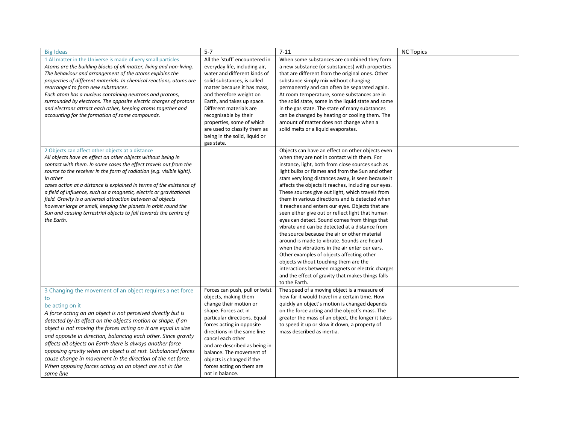| <b>Big Ideas</b>                                                                                                                                                                                                                                                                                                                                                                                                                                                                                                                                                                                                                              | $5 - 7$                                                                                                                                                                                                                                                                                                                                                                                | $7 - 11$                                                                                                                                                                                                                                                                                                                                                                                                                                                                                                                                                                                                                                                                                                                                                                                                                                                                                                                                                                                                | <b>NC Topics</b> |
|-----------------------------------------------------------------------------------------------------------------------------------------------------------------------------------------------------------------------------------------------------------------------------------------------------------------------------------------------------------------------------------------------------------------------------------------------------------------------------------------------------------------------------------------------------------------------------------------------------------------------------------------------|----------------------------------------------------------------------------------------------------------------------------------------------------------------------------------------------------------------------------------------------------------------------------------------------------------------------------------------------------------------------------------------|---------------------------------------------------------------------------------------------------------------------------------------------------------------------------------------------------------------------------------------------------------------------------------------------------------------------------------------------------------------------------------------------------------------------------------------------------------------------------------------------------------------------------------------------------------------------------------------------------------------------------------------------------------------------------------------------------------------------------------------------------------------------------------------------------------------------------------------------------------------------------------------------------------------------------------------------------------------------------------------------------------|------------------|
| 1 All matter in the Universe is made of very small particles<br>Atoms are the building blocks of all matter, living and non-living.<br>The behaviour and arrangement of the atoms explains the<br>properties of different materials. In chemical reactions, atoms are<br>rearranged to form new substances.<br>Each atom has a nucleus containing neutrons and protons,<br>surrounded by electrons. The opposite electric charges of protons<br>and electrons attract each other, keeping atoms together and<br>accounting for the formation of some compounds.                                                                               | All the 'stuff' encountered in<br>everyday life, including air,<br>water and different kinds of<br>solid substances, is called<br>matter because it has mass,<br>and therefore weight on<br>Earth, and takes up space.<br>Different materials are<br>recognisable by their<br>properties, some of which<br>are used to classify them as<br>being in the solid, liquid or<br>gas state. | When some substances are combined they form<br>a new substance (or substances) with properties<br>that are different from the original ones. Other<br>substance simply mix without changing<br>permanently and can often be separated again.<br>At room temperature, some substances are in<br>the solid state, some in the liquid state and some<br>in the gas state. The state of many substances<br>can be changed by heating or cooling them. The<br>amount of matter does not change when a<br>solid melts or a liquid evaporates.                                                                                                                                                                                                                                                                                                                                                                                                                                                                 |                  |
| 2 Objects can affect other objects at a distance<br>All objects have an effect on other objects without being in<br>contact with them. In some cases the effect travels out from the<br>source to the receiver in the form of radiation (e.g. visible light).<br>In other<br>cases action at a distance is explained in terms of the existence of<br>a field of influence, such as a magnetic, electric or gravitational<br>field. Gravity is a universal attraction between all objects<br>however large or small, keeping the planets in orbit round the<br>Sun and causing terrestrial objects to fall towards the centre of<br>the Earth. |                                                                                                                                                                                                                                                                                                                                                                                        | Objects can have an effect on other objects even<br>when they are not in contact with them. For<br>instance, light, both from close sources such as<br>light bulbs or flames and from the Sun and other<br>stars very long distances away, is seen because it<br>affects the objects it reaches, including our eyes.<br>These sources give out light, which travels from<br>them in various directions and is detected when<br>it reaches and enters our eyes. Objects that are<br>seen either give out or reflect light that human<br>eyes can detect. Sound comes from things that<br>vibrate and can be detected at a distance from<br>the source because the air or other material<br>around is made to vibrate. Sounds are heard<br>when the vibrations in the air enter our ears.<br>Other examples of objects affecting other<br>objects without touching them are the<br>interactions between magnets or electric charges<br>and the effect of gravity that makes things falls<br>to the Earth. |                  |
| 3 Changing the movement of an object requires a net force<br>be acting on it<br>A force acting on an object is not perceived directly but is<br>detected by its effect on the object's motion or shape. If an<br>object is not moving the forces acting on it are equal in size<br>and opposite in direction, balancing each other. Since gravity<br>affects all objects on Earth there is always another force<br>opposing gravity when an object is at rest. Unbalanced forces<br>cause change in movement in the direction of the net force.<br>When opposing forces acting on an object are not in the<br>same line                       | Forces can push, pull or twist<br>objects, making them<br>change their motion or<br>shape. Forces act in<br>particular directions. Equal<br>forces acting in opposite<br>directions in the same line<br>cancel each other<br>and are described as being in<br>balance. The movement of<br>objects is changed if the<br>forces acting on them are<br>not in balance.                    | The speed of a moving object is a measure of<br>how far it would travel in a certain time. How<br>quickly an object's motion is changed depends<br>on the force acting and the object's mass. The<br>greater the mass of an object, the longer it takes<br>to speed it up or slow it down, a property of<br>mass described as inertia.                                                                                                                                                                                                                                                                                                                                                                                                                                                                                                                                                                                                                                                                  |                  |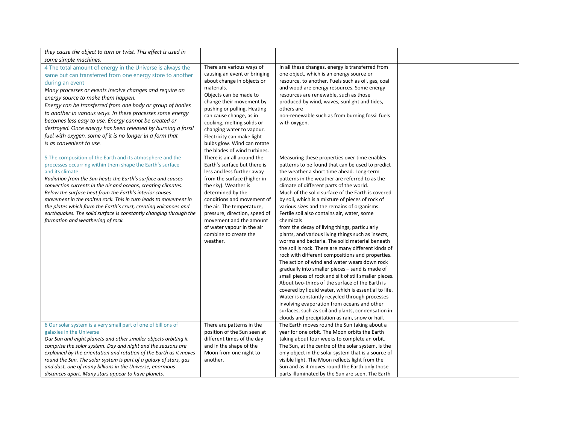| they cause the object to turn or twist. This effect is used in<br>some simple machines.                                                                                                                                                                                                                                                                                                                                                                                                                                                                                                  |                                                                                                                                                                                                                                                                                                                                                                               |                                                                                                                                                                                                                                                                                                                                                                                                                                                                                                                                                                                                                                                                                                                                                                                                                                                                                                                                                                                                                                                                                                                                                                                                                       |  |
|------------------------------------------------------------------------------------------------------------------------------------------------------------------------------------------------------------------------------------------------------------------------------------------------------------------------------------------------------------------------------------------------------------------------------------------------------------------------------------------------------------------------------------------------------------------------------------------|-------------------------------------------------------------------------------------------------------------------------------------------------------------------------------------------------------------------------------------------------------------------------------------------------------------------------------------------------------------------------------|-----------------------------------------------------------------------------------------------------------------------------------------------------------------------------------------------------------------------------------------------------------------------------------------------------------------------------------------------------------------------------------------------------------------------------------------------------------------------------------------------------------------------------------------------------------------------------------------------------------------------------------------------------------------------------------------------------------------------------------------------------------------------------------------------------------------------------------------------------------------------------------------------------------------------------------------------------------------------------------------------------------------------------------------------------------------------------------------------------------------------------------------------------------------------------------------------------------------------|--|
| 4 The total amount of energy in the Universe is always the<br>same but can transferred from one energy store to another<br>during an event<br>Many processes or events involve changes and require an<br>energy source to make them happen.<br>Energy can be transferred from one body or group of bodies<br>to another in various ways. In these processes some energy<br>becomes less easy to use. Energy cannot be created or<br>destroyed. Once energy has been released by burning a fossil<br>fuel with oxygen, some of it is no longer in a form that<br>is as convenient to use. | There are various ways of<br>causing an event or bringing<br>about change in objects or<br>materials.<br>Objects can be made to<br>change their movement by<br>pushing or pulling. Heating<br>can cause change, as in<br>cooking, melting solids or<br>changing water to vapour.<br>Electricity can make light<br>bulbs glow. Wind can rotate<br>the blades of wind turbines. | In all these changes, energy is transferred from<br>one object, which is an energy source or<br>resource, to another. Fuels such as oil, gas, coal<br>and wood are energy resources. Some energy<br>resources are renewable, such as those<br>produced by wind, waves, sunlight and tides,<br>others are<br>non-renewable such as from burning fossil fuels<br>with oxygen.                                                                                                                                                                                                                                                                                                                                                                                                                                                                                                                                                                                                                                                                                                                                                                                                                                           |  |
| 5 The composition of the Earth and its atmosphere and the<br>processes occurring within them shape the Earth's surface<br>and its climate<br>Radiation from the Sun heats the Earth's surface and causes<br>convection currents in the air and oceans, creating climates.<br>Below the surface heat from the Earth's interior causes<br>movement in the molten rock. This in turn leads to movement in<br>the plates which form the Earth's crust, creating volcanoes and<br>earthquakes. The solid surface is constantly changing through the<br>formation and weathering of rock.      | There is air all around the<br>Earth's surface but there is<br>less and less further away<br>from the surface (higher in<br>the sky). Weather is<br>determined by the<br>conditions and movement of<br>the air. The temperature,<br>pressure, direction, speed of<br>movement and the amount<br>of water vapour in the air<br>combine to create the<br>weather.               | Measuring these properties over time enables<br>patterns to be found that can be used to predict<br>the weather a short time ahead. Long-term<br>patterns in the weather are referred to as the<br>climate of different parts of the world.<br>Much of the solid surface of the Earth is covered<br>by soil, which is a mixture of pieces of rock of<br>various sizes and the remains of organisms.<br>Fertile soil also contains air, water, some<br>chemicals<br>from the decay of living things, particularly<br>plants, and various living things such as insects,<br>worms and bacteria. The solid material beneath<br>the soil is rock. There are many different kinds of<br>rock with different compositions and properties.<br>The action of wind and water wears down rock<br>gradually into smaller pieces - sand is made of<br>small pieces of rock and silt of still smaller pieces.<br>About two-thirds of the surface of the Earth is<br>covered by liquid water, which is essential to life.<br>Water is constantly recycled through processes<br>involving evaporation from oceans and other<br>surfaces, such as soil and plants, condensation in<br>clouds and precipitation as rain, snow or hail. |  |
| 6 Our solar system is a very small part of one of billions of<br>galaxies in the Universe<br>Our Sun and eight planets and other smaller objects orbiting it<br>comprise the solar system. Day and night and the seasons are<br>explained by the orientation and rotation of the Earth as it moves<br>round the Sun. The solar system is part of a galaxy of stars, gas<br>and dust, one of many billions in the Universe, enormous<br>distances apart. Many stars appear to have planets.                                                                                               | There are patterns in the<br>position of the Sun seen at<br>different times of the day<br>and in the shape of the<br>Moon from one night to<br>another.                                                                                                                                                                                                                       | The Earth moves round the Sun taking about a<br>year for one orbit. The Moon orbits the Earth<br>taking about four weeks to complete an orbit.<br>The Sun, at the centre of the solar system, is the<br>only object in the solar system that is a source of<br>visible light. The Moon reflects light from the<br>Sun and as it moves round the Earth only those<br>parts illuminated by the Sun are seen. The Earth                                                                                                                                                                                                                                                                                                                                                                                                                                                                                                                                                                                                                                                                                                                                                                                                  |  |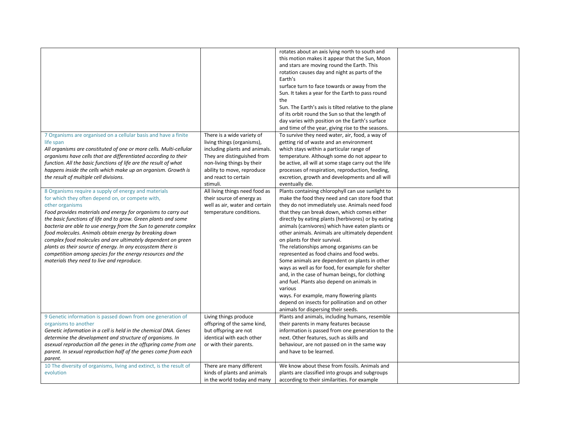|                                                                                                                                                                                                                                                                                                                                                                                                                                                                                                                                                                                                                                         |                                                                                                                                                                                                                          | rotates about an axis lying north to south and<br>this motion makes it appear that the Sun, Moon<br>and stars are moving round the Earth. This<br>rotation causes day and night as parts of the<br>Earth's<br>surface turn to face towards or away from the<br>Sun. It takes a year for the Earth to pass round<br>the<br>Sun. The Earth's axis is tilted relative to the plane<br>of its orbit round the Sun so that the length of<br>day varies with position on the Earth's surface<br>and time of the year, giving rise to the seasons.                                                                                                                                                                                                                                                                                                         |  |
|-----------------------------------------------------------------------------------------------------------------------------------------------------------------------------------------------------------------------------------------------------------------------------------------------------------------------------------------------------------------------------------------------------------------------------------------------------------------------------------------------------------------------------------------------------------------------------------------------------------------------------------------|--------------------------------------------------------------------------------------------------------------------------------------------------------------------------------------------------------------------------|-----------------------------------------------------------------------------------------------------------------------------------------------------------------------------------------------------------------------------------------------------------------------------------------------------------------------------------------------------------------------------------------------------------------------------------------------------------------------------------------------------------------------------------------------------------------------------------------------------------------------------------------------------------------------------------------------------------------------------------------------------------------------------------------------------------------------------------------------------|--|
| 7 Organisms are organised on a cellular basis and have a finite<br>life span<br>All organisms are constituted of one or more cells. Multi-cellular<br>organisms have cells that are differentiated according to their<br>function. All the basic functions of life are the result of what<br>happens inside the cells which make up an organism. Growth is<br>the result of multiple cell divisions.                                                                                                                                                                                                                                    | There is a wide variety of<br>living things (organisms),<br>including plants and animals.<br>They are distinguished from<br>non-living things by their<br>ability to move, reproduce<br>and react to certain<br>stimuli. | To survive they need water, air, food, a way of<br>getting rid of waste and an environment<br>which stays within a particular range of<br>temperature. Although some do not appear to<br>be active, all will at some stage carry out the life<br>processes of respiration, reproduction, feeding,<br>excretion, growth and developments and all will<br>eventually die.                                                                                                                                                                                                                                                                                                                                                                                                                                                                             |  |
| 8 Organisms require a supply of energy and materials<br>for which they often depend on, or compete with,<br>other organisms<br>Food provides materials and energy for organisms to carry out<br>the basic functions of life and to grow. Green plants and some<br>bacteria are able to use energy from the Sun to generate complex<br>food molecules. Animals obtain energy by breaking down<br>complex food molecules and are ultimately dependent on green<br>plants as their source of energy. In any ecosystem there is<br>competition among species for the energy resources and the<br>materials they need to live and reproduce. | All living things need food as<br>their source of energy as<br>well as air, water and certain<br>temperature conditions.                                                                                                 | Plants containing chlorophyll can use sunlight to<br>make the food they need and can store food that<br>they do not immediately use. Animals need food<br>that they can break down, which comes either<br>directly by eating plants (herbivores) or by eating<br>animals (carnivores) which have eaten plants or<br>other animals. Animals are ultimately dependent<br>on plants for their survival.<br>The relationships among organisms can be<br>represented as food chains and food webs.<br>Some animals are dependent on plants in other<br>ways as well as for food, for example for shelter<br>and, in the case of human beings, for clothing<br>and fuel. Plants also depend on animals in<br>various<br>ways. For example, many flowering plants<br>depend on insects for pollination and on other<br>animals for dispersing their seeds. |  |
| 9 Genetic information is passed down from one generation of<br>organisms to another<br>Genetic information in a cell is held in the chemical DNA. Genes<br>determine the development and structure of organisms. In<br>asexual reproduction all the genes in the offspring come from one<br>parent. In sexual reproduction half of the genes come from each<br>parent.                                                                                                                                                                                                                                                                  | Living things produce<br>offspring of the same kind,<br>but offspring are not<br>identical with each other<br>or with their parents.                                                                                     | Plants and animals, including humans, resemble<br>their parents in many features because<br>information is passed from one generation to the<br>next. Other features, such as skills and<br>behaviour, are not passed on in the same way<br>and have to be learned.                                                                                                                                                                                                                                                                                                                                                                                                                                                                                                                                                                                 |  |
| 10 The diversity of organisms, living and extinct, is the result of<br>evolution                                                                                                                                                                                                                                                                                                                                                                                                                                                                                                                                                        | There are many different<br>kinds of plants and animals<br>in the world today and many                                                                                                                                   | We know about these from fossils. Animals and<br>plants are classified into groups and subgroups<br>according to their similarities. For example                                                                                                                                                                                                                                                                                                                                                                                                                                                                                                                                                                                                                                                                                                    |  |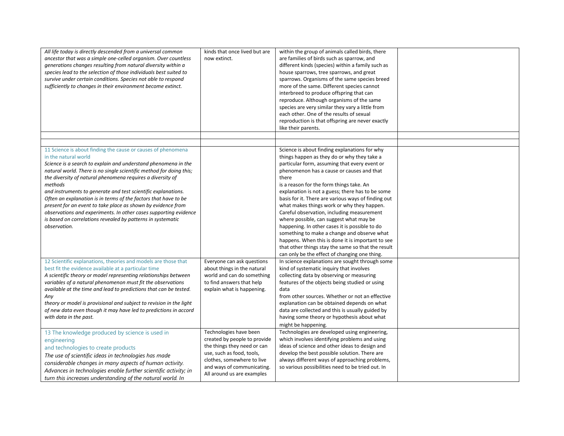| All life today is directly descended from a universal common<br>ancestor that was a simple one-celled organism. Over countless<br>generations changes resulting from natural diversity within a<br>species lead to the selection of those individuals best suited to<br>survive under certain conditions. Species not able to respond<br>sufficiently to changes in their environment become extinct.                                                                                                                                                                                                                                                         | kinds that once lived but are<br>now extinct.                                                                                                                                                                | within the group of animals called birds, there<br>are families of birds such as sparrow, and<br>different kinds (species) within a family such as<br>house sparrows, tree sparrows, and great<br>sparrows. Organisms of the same species breed<br>more of the same. Different species cannot<br>interbreed to produce offspring that can<br>reproduce. Although organisms of the same<br>species are very similar they vary a little from<br>each other. One of the results of sexual<br>reproduction is that offspring are never exactly<br>like their parents.                                                                                                                                                                                              |  |
|---------------------------------------------------------------------------------------------------------------------------------------------------------------------------------------------------------------------------------------------------------------------------------------------------------------------------------------------------------------------------------------------------------------------------------------------------------------------------------------------------------------------------------------------------------------------------------------------------------------------------------------------------------------|--------------------------------------------------------------------------------------------------------------------------------------------------------------------------------------------------------------|----------------------------------------------------------------------------------------------------------------------------------------------------------------------------------------------------------------------------------------------------------------------------------------------------------------------------------------------------------------------------------------------------------------------------------------------------------------------------------------------------------------------------------------------------------------------------------------------------------------------------------------------------------------------------------------------------------------------------------------------------------------|--|
|                                                                                                                                                                                                                                                                                                                                                                                                                                                                                                                                                                                                                                                               |                                                                                                                                                                                                              |                                                                                                                                                                                                                                                                                                                                                                                                                                                                                                                                                                                                                                                                                                                                                                |  |
| 11 Science is about finding the cause or causes of phenomena<br>in the natural world<br>Science is a search to explain and understand phenomena in the<br>natural world. There is no single scientific method for doing this;<br>the diversity of natural phenomena requires a diversity of<br>methods<br>and instruments to generate and test scientific explanations.<br>Often an explanation is in terms of the factors that have to be<br>present for an event to take place as shown by evidence from<br>observations and experiments. In other cases supporting evidence<br>is based on correlations revealed by patterns in systematic<br>observation. |                                                                                                                                                                                                              | Science is about finding explanations for why<br>things happen as they do or why they take a<br>particular form, assuming that every event or<br>phenomenon has a cause or causes and that<br>there<br>is a reason for the form things take. An<br>explanation is not a guess; there has to be some<br>basis for it. There are various ways of finding out<br>what makes things work or why they happen.<br>Careful observation, including measurement<br>where possible, can suggest what may be<br>happening. In other cases it is possible to do<br>something to make a change and observe what<br>happens. When this is done it is important to see<br>that other things stay the same so that the result<br>can only be the effect of changing one thing. |  |
| 12 Scientific explanations, theories and models are those that<br>best fit the evidence available at a particular time<br>A scientific theory or model representing relationships between<br>variables of a natural phenomenon must fit the observations<br>available at the time and lead to predictions that can be tested.<br>Any<br>theory or model is provisional and subject to revision in the light<br>of new data even though it may have led to predictions in accord<br>with data in the past.                                                                                                                                                     | Everyone can ask questions<br>about things in the natural<br>world and can do something<br>to find answers that help<br>explain what is happening.                                                           | In science explanations are sought through some<br>kind of systematic inquiry that involves<br>collecting data by observing or measuring<br>features of the objects being studied or using<br>data<br>from other sources. Whether or not an effective<br>explanation can be obtained depends on what<br>data are collected and this is usually guided by<br>having some theory or hypothesis about what<br>might be happening.                                                                                                                                                                                                                                                                                                                                 |  |
| 13 The knowledge produced by science is used in<br>engineering<br>and technologies to create products<br>The use of scientific ideas in technologies has made<br>considerable changes in many aspects of human activity.<br>Advances in technologies enable further scientific activity; in<br>turn this increases understanding of the natural world. In                                                                                                                                                                                                                                                                                                     | Technologies have been<br>created by people to provide<br>the things they need or can<br>use, such as food, tools,<br>clothes, somewhere to live<br>and ways of communicating.<br>All around us are examples | Technologies are developed using engineering,<br>which involves identifying problems and using<br>ideas of science and other ideas to design and<br>develop the best possible solution. There are<br>always different ways of approaching problems,<br>so various possibilities need to be tried out. In                                                                                                                                                                                                                                                                                                                                                                                                                                                       |  |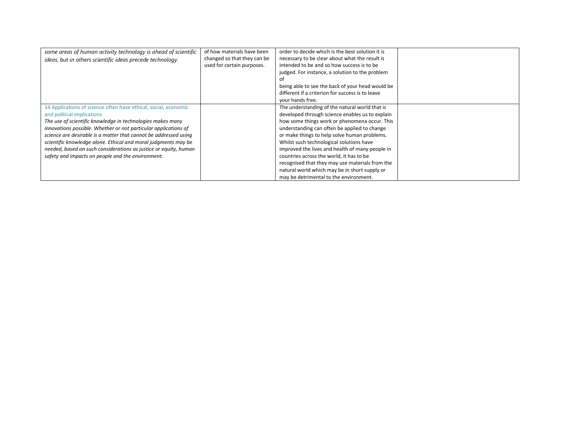| some areas of human activity technology is ahead of scientific<br>ideas, but in others scientific ideas precede technology.                                                                                                                                                                                                                                                                                                                                                                   | of how materials have been<br>changed so that they can be<br>used for certain purposes. | order to decide which is the best solution it is<br>necessary to be clear about what the result is<br>intended to be and so how success is to be<br>judged. For instance, a solution to the problem<br>Ωt<br>being able to see the back of your head would be<br>different if a criterion for success is to leave<br>your hands free.                                                                                                                                                                                                       |  |
|-----------------------------------------------------------------------------------------------------------------------------------------------------------------------------------------------------------------------------------------------------------------------------------------------------------------------------------------------------------------------------------------------------------------------------------------------------------------------------------------------|-----------------------------------------------------------------------------------------|---------------------------------------------------------------------------------------------------------------------------------------------------------------------------------------------------------------------------------------------------------------------------------------------------------------------------------------------------------------------------------------------------------------------------------------------------------------------------------------------------------------------------------------------|--|
| 14 Applications of science often have ethical, social, economic<br>and political implications<br>The use of scientific knowledge in technologies makes many<br>innovations possible. Whether or not particular applications of<br>science are desirable is a matter that cannot be addressed using<br>scientific knowledge alone. Ethical and moral judgments may be<br>needed, based on such considerations as justice or equity, human<br>safety and impacts on people and the environment. |                                                                                         | The understanding of the natural world that is<br>developed through science enables us to explain<br>how some things work or phenomena occur. This<br>understanding can often be applied to change<br>or make things to help solve human problems.<br>Whilst such technological solutions have<br>improved the lives and health of many people in<br>countries across the world, it has to be<br>recognised that they may use materials from the<br>natural world which may be in short supply or<br>may be detrimental to the environment. |  |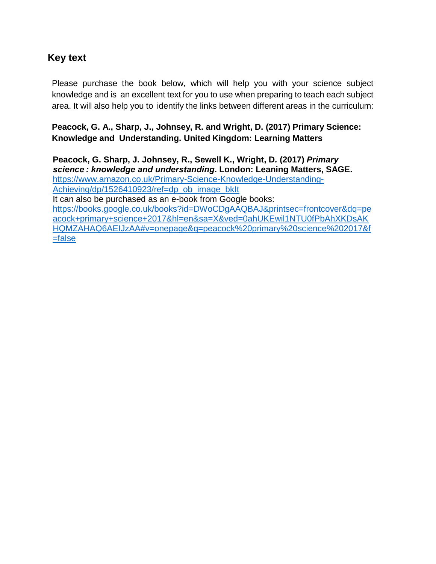## **Key text**

Please purchase the book below, which will help you with your science subject knowledge and is an excellent text for you to use when preparing to teach each subject area. It will also help you to identify the links between different areas in the curriculum:

**Peacock, G. A., Sharp, J., Johnsey, R. and Wright, D. (2017) Primary Science: Knowledge and Understanding. United Kingdom: Learning Matters**

**Peacock, G. Sharp, J. Johnsey, R., Sewell K., Wright, D***.* **(2017)** *Primary science : knowledge and understanding***. London: Leaning Matters, SAGE.** [https://www.amazon.co.uk/Primary-Science-Knowledge-Understanding-](https://www.amazon.co.uk/Primary-Science-Knowledge-Understanding-Achieving/dp/1526410923/ref=dp_ob_image_bkIt)[Achieving/dp/1526410923/ref=dp\\_ob\\_image\\_bkIt](https://www.amazon.co.uk/Primary-Science-Knowledge-Understanding-Achieving/dp/1526410923/ref=dp_ob_image_bkIt) It can also be purchased as an e-book from Google books: [https://books.google.co.uk/books?id=DWoCDgAAQBAJ&printsec=frontcover&dq=pe](https://books.google.co.uk/books?id=DWoCDgAAQBAJ&printsec=frontcover&dq=peacock+primary+science+2017&hl=en&sa=X&ved=0ahUKEwil1NTU0fPbAhXKDsAKHQMZAHAQ6AEIJzAA#v=onepage&q=peacock%20primary%20science%202017&f=false) [acock+primary+science+2017&hl=en&sa=X&ved=0ahUKEwil1NTU0fPbAhXKDsAK](https://books.google.co.uk/books?id=DWoCDgAAQBAJ&printsec=frontcover&dq=peacock+primary+science+2017&hl=en&sa=X&ved=0ahUKEwil1NTU0fPbAhXKDsAKHQMZAHAQ6AEIJzAA#v=onepage&q=peacock%20primary%20science%202017&f=false) [HQMZAHAQ6AEIJzAA#v=onepage&q=peacock%20primary%20science%202017&f](https://books.google.co.uk/books?id=DWoCDgAAQBAJ&printsec=frontcover&dq=peacock+primary+science+2017&hl=en&sa=X&ved=0ahUKEwil1NTU0fPbAhXKDsAKHQMZAHAQ6AEIJzAA#v=onepage&q=peacock%20primary%20science%202017&f=false) [=false](https://books.google.co.uk/books?id=DWoCDgAAQBAJ&printsec=frontcover&dq=peacock+primary+science+2017&hl=en&sa=X&ved=0ahUKEwil1NTU0fPbAhXKDsAKHQMZAHAQ6AEIJzAA#v=onepage&q=peacock%20primary%20science%202017&f=false)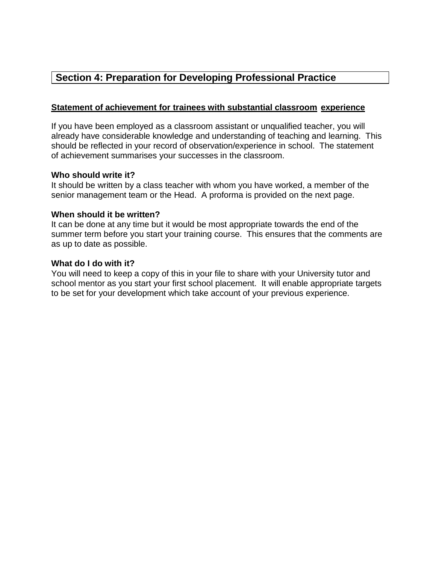## **Section 4: Preparation for Developing Professional Practice**

### **Statement of achievement for trainees with substantial classroom experience**

If you have been employed as a classroom assistant or unqualified teacher, you will already have considerable knowledge and understanding of teaching and learning. This should be reflected in your record of observation/experience in school. The statement of achievement summarises your successes in the classroom.

#### **Who should write it?**

It should be written by a class teacher with whom you have worked, a member of the senior management team or the Head. A proforma is provided on the next page.

#### **When should it be written?**

It can be done at any time but it would be most appropriate towards the end of the summer term before you start your training course. This ensures that the comments are as up to date as possible.

#### **What do I do with it?**

You will need to keep a copy of this in your file to share with your University tutor and school mentor as you start your first school placement. It will enable appropriate targets to be set for your development which take account of your previous experience.